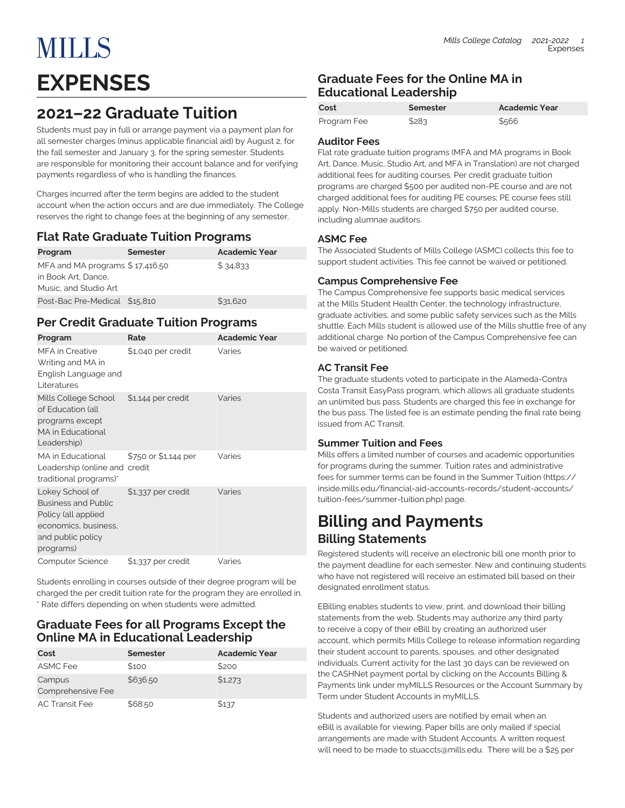Students must pay in full or arrange payment via a payment plan for all semester charges (minus applicable financial aid) by August 2, for the fall semester and January 3, for the spring semester. Students are responsible for monitoring their account balance and for verifying payments regardless of who is handling the finances.

Charges incurred after the term begins are added to the student account when the action occurs and are due immediately. The College reserves the right to change fees at the beginning of any semester.

### **Flat Rate Graduate Tuition Programs**

| Program                         | Semester | <b>Academic Year</b> |
|---------------------------------|----------|----------------------|
| MFA and MA programs \$17,416.50 |          | \$34.833             |
| in Book Art. Dance.             |          |                      |
| Music, and Studio Art           |          |                      |
| Post-Bac Pre-Medical \$15,810   |          | \$31,620             |

### **Per Credit Graduate Tuition Programs**

| Program                                                                                                                        | Rate                 | <b>Academic Year</b> |
|--------------------------------------------------------------------------------------------------------------------------------|----------------------|----------------------|
| <b>MFA</b> in Creative<br>Writing and MA in<br>English Language and<br>I iteratures                                            | \$1,040 per credit   | Varies               |
| Mills College School<br>of Education (all<br>programs except<br>MA in Educational<br>Leadership)                               | \$1,144 per credit   | Varies               |
| MA in Educational<br>Leadership (online and credit<br>traditional programs)*                                                   | \$750 or \$1,144 per | Varies               |
| Lokey School of<br><b>Business and Public</b><br>Policy (all applied<br>economics, business,<br>and public policy<br>programs) | \$1,337 per credit   | Varies               |
| <b>Computer Science</b>                                                                                                        | \$1,337 per credit   | Varies               |

Students enrolling in courses outside of their degree program will be charged the per credit tuition rate for the program they are enrolled in. \* Rate differs depending on when students were admitted.

### **Graduate Fees for all Programs Except the Online MA in Educational Leadership**

| Cost                        | Semester | <b>Academic Year</b> |
|-----------------------------|----------|----------------------|
| <b>ASMC Fee</b>             | \$100    | \$200                |
| Campus<br>Comprehensive Fee | \$636.50 | \$1,273              |
| <b>AC Transit Fee</b>       | \$68.50  | \$137                |

### **Graduate Fees for the Online MA in Educational Leadership**

| Cost        | Semester | Academic Year |
|-------------|----------|---------------|
| Program Fee | \$283    | \$566         |

### **Auditor Fees**

Flat rate graduate tuition programs (MFA and MA programs in Book Art, Dance, Music, Studio Art, and MFA in Translation) are not charged additional fees for auditing courses. Per credit graduate tuition programs are charged \$500 per audited non-PE course and are not charged additional fees for auditing PE courses; PE course fees still apply. Non-Mills students are charged \$750 per audited course, including alumnae auditors.

### **ASMC Fee**

The Associated Students of Mills College (ASMC) collects this fee to support student activities. This fee cannot be waived or petitioned.

### **Campus Comprehensive Fee**

The Campus Comprehensive fee supports basic medical services at the Mills Student Health Center, the technology infrastructure, graduate activities, and some public safety services such as the Mills shuttle. Each Mills student is allowed use of the Mills shuttle free of any additional charge. No portion of the Campus Comprehensive fee can be waived or petitioned.

### **AC Transit Fee**

The graduate students voted to participate in the Alameda-Contra Costa Transit EasyPass program, which allows all graduate students an unlimited bus pass. Students are charged this fee in exchange for the bus pass. The listed fee is an estimate pending the final rate being issued from AC Transit.

### **Summer Tuition and Fees**

Mills offers a limited number of courses and academic opportunities for programs during the summer. Tuition rates and administrative fees for summer terms can be found in the [Summer Tuition](https://inside.mills.edu/financial-aid-accounts-records/student-accounts/tuition-fees/summer-tuition.php) ([https://](https://inside.mills.edu/financial-aid-accounts-records/student-accounts/tuition-fees/summer-tuition.php) [inside.mills.edu/financial-aid-accounts-records/student-accounts/](https://inside.mills.edu/financial-aid-accounts-records/student-accounts/tuition-fees/summer-tuition.php) [tuition-fees/summer-tuition.php\)](https://inside.mills.edu/financial-aid-accounts-records/student-accounts/tuition-fees/summer-tuition.php) page.

### **Billing and Payments Billing Statements**

Registered students will receive an electronic bill one month prior to the payment deadline for each semester. New and continuing students who have not registered will receive an estimated bill based on their designated enrollment status.

EBilling enables students to view, print, and download their billing statements from the web. Students may authorize any third party to receive a copy of their eBill by creating an authorized user account, which permits Mills College to release information regarding their student account to parents, spouses, and other designated individuals. Current activity for the last 30 days can be reviewed on the CASHNet payment portal by clicking on the Accounts Billing & Payments link under myMILLS Resources or the Account Summary by Term under Student Accounts in myMILLS.

Students and authorized users are notified by email when an eBill is available for viewing. Paper bills are only mailed if special arrangements are made with Student Accounts. A written request will need to be made to [stuaccts@mills.edu](mailto:stuaccts@mills.edu). There will be a \$25 per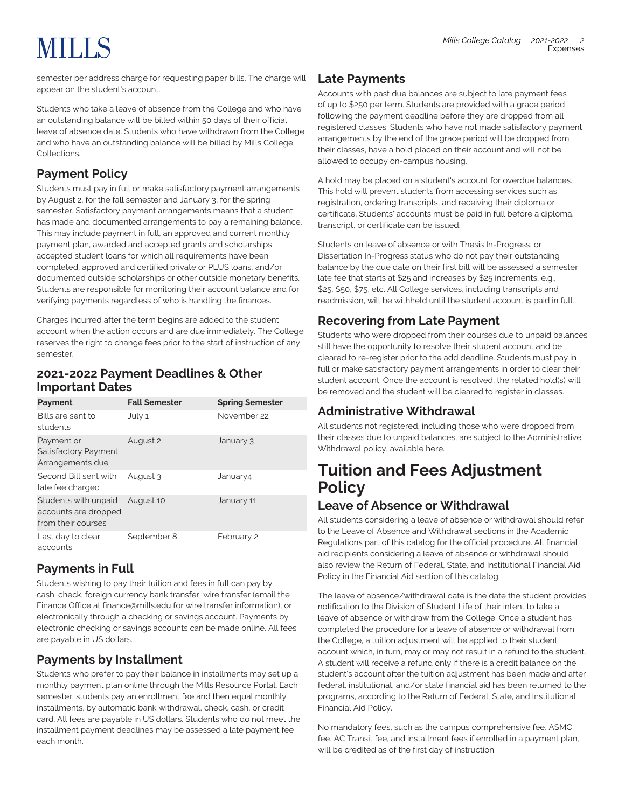# **MILLS**

semester per address charge for requesting paper bills. The charge will appear on the student's account.

Students who take a leave of absence from the College and who have an outstanding balance will be billed within 50 days of their official leave of absence date. Students who have withdrawn from the College and who have an outstanding balance will be billed by Mills College Collections.

### **Payment Policy**

Students must pay in full or make satisfactory payment arrangements by August 2, for the fall semester and January 3, for the spring semester. Satisfactory payment arrangements means that a student has made and documented arrangements to pay a remaining balance. This may include payment in full, an approved and current monthly payment plan, awarded and accepted grants and scholarships, accepted student loans for which all requirements have been completed, approved and certified private or PLUS loans, and/or documented outside scholarships or other outside monetary benefits. Students are responsible for monitoring their account balance and for verifying payments regardless of who is handling the finances.

Charges incurred after the term begins are added to the student account when the action occurs and are due immediately. The College reserves the right to change fees prior to the start of instruction of any semester.

### **2021-2022 Payment Deadlines & Other Important Dates**

| Payment                                                            | <b>Fall Semester</b> | <b>Spring Semester</b> |
|--------------------------------------------------------------------|----------------------|------------------------|
| Bills are sent to<br>students                                      | July 1               | November 22            |
| Payment or<br>Satisfactory Payment<br>Arrangements due             | August 2             | January 3              |
| Second Bill sent with<br>late fee charged                          | August 3             | January4               |
| Students with unpaid<br>accounts are dropped<br>from their courses | August 10            | January 11             |
| Last day to clear<br>accounts                                      | September 8          | February 2             |

### **Payments in Full**

Students wishing to pay their tuition and fees in full can pay by cash, check, foreign currency bank transfer, wire transfer (email the Finance Office at [finance@mills.edu](mailto:finance@mills.edu) for wire transfer information), or electronically through a checking or savings account. Payments by electronic checking or savings accounts can be made online. All fees are payable in US dollars.

### **Payments by Installment**

Students who prefer to pay their balance in installments may set up a monthly payment plan online through the Mills Resource Portal. Each semester, students pay an enrollment fee and then equal monthly installments, by automatic bank withdrawal, check, cash, or credit card. All fees are payable in US dollars. Students who do not meet the installment payment deadlines may be assessed a late payment fee each month.

### **Late Payments**

Accounts with past due balances are subject to late payment fees of up to \$250 per term. Students are provided with a grace period following the payment deadline before they are dropped from all registered classes. Students who have not made satisfactory payment arrangements by the end of the grace period will be dropped from their classes, have a hold placed on their account and will not be allowed to occupy on-campus housing.

A hold may be placed on a student's account for overdue balances. This hold will prevent students from accessing services such as registration, ordering transcripts, and receiving their diploma or certificate. Students' accounts must be paid in full before a diploma, transcript, or certificate can be issued.

Students on leave of absence or with Thesis In-Progress, or Dissertation In-Progress status who do not pay their outstanding balance by the due date on their first bill will be assessed a semester late fee that starts at \$25 and increases by \$25 increments, e.g., \$25, \$50, \$75, etc. All College services, including transcripts and readmission, will be withheld until the student account is paid in full.

### **Recovering from Late Payment**

Students who were dropped from their courses due to unpaid balances still have the opportunity to resolve their student account and be cleared to re-register prior to the add deadline. Students must pay in full or make satisfactory payment arrangements in order to clear their student account. Once the account is resolved, the related hold(s) will be removed and the student will be cleared to register in classes.

### **Administrative Withdrawal**

All students not registered, including those who were dropped from their classes due to unpaid balances, are subject to the Administrative Withdrawal policy, available here.

# **Tuition and Fees Adjustment Policy**

### **Leave of Absence or Withdrawal**

All students considering a leave of absence or withdrawal should refer to the Leave of Absence and Withdrawal sections in the Academic Regulations part of this catalog for the official procedure. All financial aid recipients considering a leave of absence or withdrawal should also review the Return of Federal, State, and Institutional Financial Aid Policy in the Financial Aid section of this catalog.

The leave of absence/withdrawal date is the date the student provides notification to the Division of Student Life of their intent to take a leave of absence or withdraw from the College. Once a student has completed the procedure for a leave of absence or withdrawal from the College, a tuition adjustment will be applied to their student account which, in turn, may or may not result in a refund to the student. A student will receive a refund only if there is a credit balance on the student's account after the tuition adjustment has been made and after federal, institutional, and/or state financial aid has been returned to the programs, according to the Return of Federal, State, and Institutional Financial Aid Policy.

No mandatory fees, such as the campus comprehensive fee, ASMC fee, AC Transit fee, and installment fees if enrolled in a payment plan, will be credited as of the first day of instruction.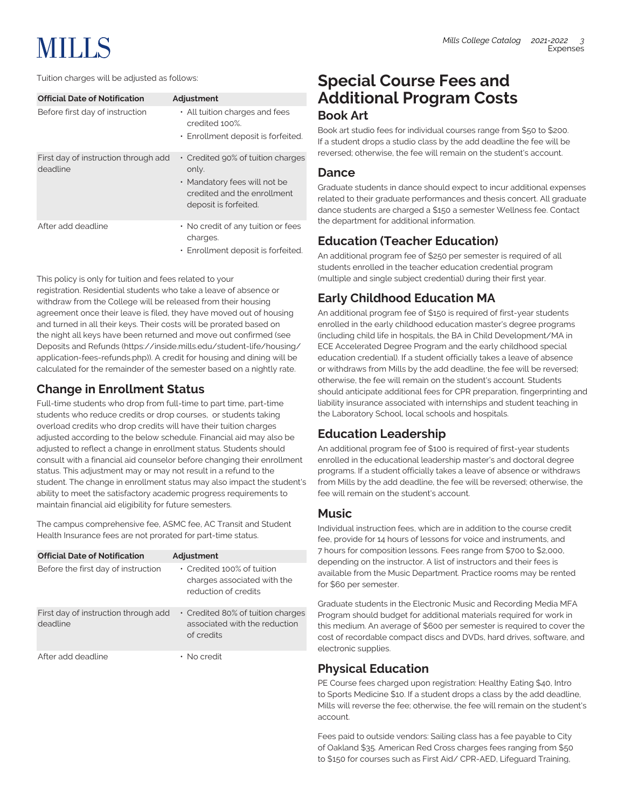# **MILLS**

| <b>Official Date of Notification</b>             | Adjustment                                                                                                                         |
|--------------------------------------------------|------------------------------------------------------------------------------------------------------------------------------------|
| Before first day of instruction                  | • All tuition charges and fees<br>credited 100%                                                                                    |
|                                                  | • Enrollment deposit is forfeited.                                                                                                 |
| First day of instruction through add<br>deadline | • Credited 90% of tuition charges<br>only.<br>• Mandatory fees will not be<br>credited and the enrollment<br>deposit is forfeited. |
| After add deadline                               | • No credit of any tuition or fees<br>charges.<br>• Enrollment deposit is forfeited.                                               |

This policy is only for tuition and fees related to your registration. Residential students who take a leave of absence or withdraw from the College will be released from their housing agreement once their leave is filed, they have moved out of housing and turned in all their keys. Their costs will be prorated based on the night all keys have been returned and move out confirmed (see [Deposits and Refunds](https://inside.mills.edu/student-life/housing/application-fees-refunds.php) [\(https://inside.mills.edu/student-life/housing/](https://inside.mills.edu/student-life/housing/application-fees-refunds.php) [application-fees-refunds.php\)](https://inside.mills.edu/student-life/housing/application-fees-refunds.php)). A credit for housing and dining will be calculated for the remainder of the semester based on a nightly rate.

### **Change in Enrollment Status**

Full-time students who drop from full-time to part time, part-time students who reduce credits or drop courses, or students taking overload credits who drop credits will have their tuition charges adjusted according to the below schedule. Financial aid may also be adjusted to reflect a change in enrollment status. Students should consult with a financial aid counselor before changing their enrollment status. This adjustment may or may not result in a refund to the student. The change in enrollment status may also impact the student's ability to meet the satisfactory academic progress requirements to maintain financial aid eligibility for future semesters.

The campus comprehensive fee, ASMC fee, AC Transit and Student Health Insurance fees are not prorated for part-time status.

| <b>Official Date of Notification</b>             | Adjustment                                                                             |
|--------------------------------------------------|----------------------------------------------------------------------------------------|
| Before the first day of instruction              | • Credited 100% of tuition<br>charges associated with the<br>reduction of credits      |
| First day of instruction through add<br>deadline | $\cdot$ Credited 80% of tuition charges<br>associated with the reduction<br>of credits |
| After add deadline                               | • No credit                                                                            |

### **Special Course Fees and Additional Program Costs Book Art**

Book art studio fees for individual courses range from \$50 to \$200. If a student drops a studio class by the add deadline the fee will be reversed; otherwise, the fee will remain on the student's account.

### **Dance**

Graduate students in dance should expect to incur additional expenses related to their graduate performances and thesis concert. All graduate dance students are charged a \$150 a semester Wellness fee. Contact the department for additional information.

### **Education (Teacher Education)**

An additional program fee of \$250 per semester is required of all students enrolled in the teacher education credential program (multiple and single subject credential) during their first year.

### **Early Childhood Education MA**

An additional program fee of \$150 is required of first-year students enrolled in the early childhood education master's degree programs (including child life in hospitals, the BA in Child Development/MA in ECE Accelerated Degree Program and the early childhood special education credential). If a student officially takes a leave of absence or withdraws from Mills by the add deadline, the fee will be reversed; otherwise, the fee will remain on the student's account. Students should anticipate additional fees for CPR preparation, fingerprinting and liability insurance associated with internships and student teaching in the Laboratory School, local schools and hospitals.

### **Education Leadership**

An additional program fee of \$100 is required of first-year students enrolled in the educational leadership master's and doctoral degree programs. If a student officially takes a leave of absence or withdraws from Mills by the add deadline, the fee will be reversed; otherwise, the fee will remain on the student's account.

### **Music**

Individual instruction fees, which are in addition to the course credit fee, provide for 14 hours of lessons for voice and instruments, and 7 hours for composition lessons. Fees range from \$700 to \$2,000, depending on the instructor. A list of instructors and their fees is available from the Music Department. Practice rooms may be rented for \$60 per semester.

Graduate students in the Electronic Music and Recording Media MFA Program should budget for additional materials required for work in this medium. An average of \$600 per semester is required to cover the cost of recordable compact discs and DVDs, hard drives, software, and electronic supplies.

### **Physical Education**

PE Course fees charged upon registration: Healthy Eating \$40, Intro to Sports Medicine \$10. If a student drops a class by the add deadline, Mills will reverse the fee; otherwise, the fee will remain on the student's account.

Fees paid to outside vendors: Sailing class has a fee payable to City of Oakland \$35. American Red Cross charges fees ranging from \$50 to \$150 for courses such as First Aid/ CPR-AED, Lifeguard Training,